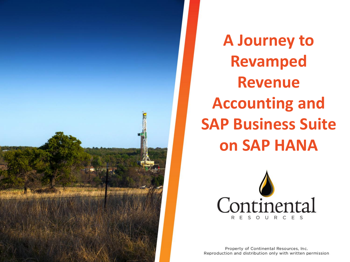

**A Journey to Revamped Revenue Accounting and SAP Business Suite on SAP HANA**

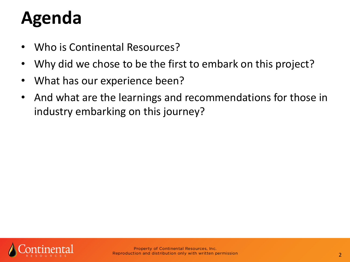# **Agenda**

- Who is Continental Resources?
- Why did we chose to be the first to embark on this project?
- What has our experience been?
- And what are the learnings and recommendations for those in industry embarking on this journey?

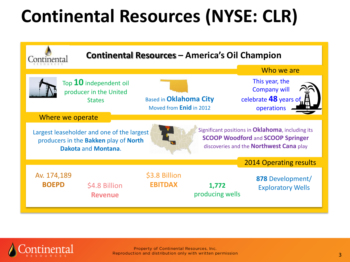## **Continental Resources (NYSE: CLR)**



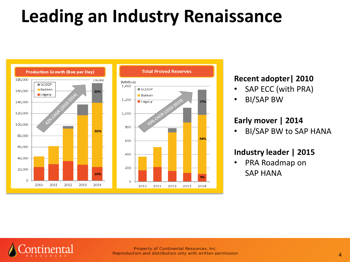## **Leading an Industry Renaissance**



#### **Recent adopter| 2010**

- SAP ECC (with PRA)
- BI/SAP BW

#### **Early mover | 2014**

• BI/SAP BW to SAP HANA

#### **Industry leader | 2015**

• PRA Roadmap on SAP HANA

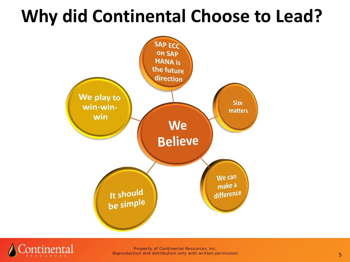## **Why did Continental Choose to Lead?**



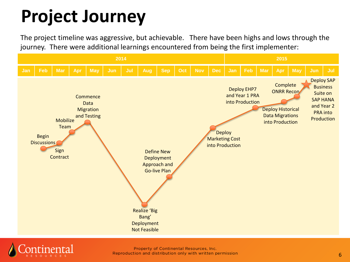# **Project Journey**

The project timeline was aggressive, but achievable. There have been highs and lows through the journey. There were additional learnings encountered from being the first implementer: